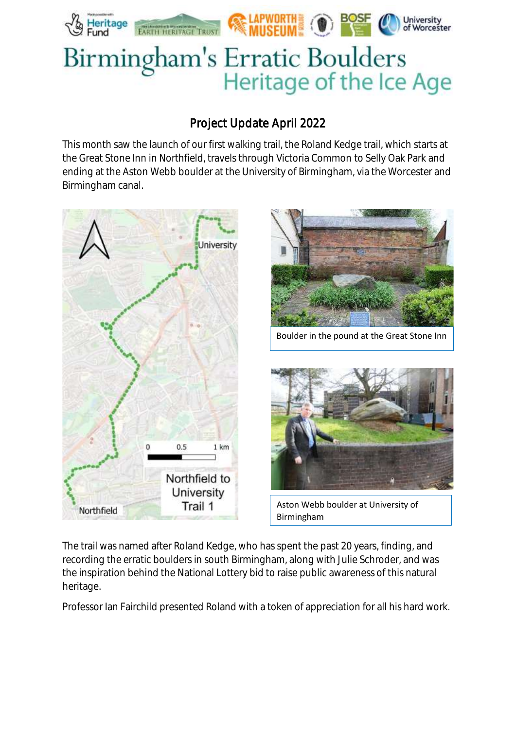

# Birmingham's Erratic Boulders Heritage of the Ice Age

# Project Update April 2022

This month saw the launch of our first walking trail, the Roland Kedge trail, which starts at the Great Stone Inn in Northfield, travels through Victoria Common to Selly Oak Park and ending at the Aston Webb boulder at the University of Birmingham, via the Worcester and Birmingham canal.



The trail was named after Roland Kedge, who has spent the past 20 years, finding, and recording the erratic boulders in south Birmingham, along with Julie Schroder, and was the inspiration behind the National Lottery bid to raise public awareness of this natural heritage.

Professor Ian Fairchild presented Roland with a token of appreciation for all his hard work.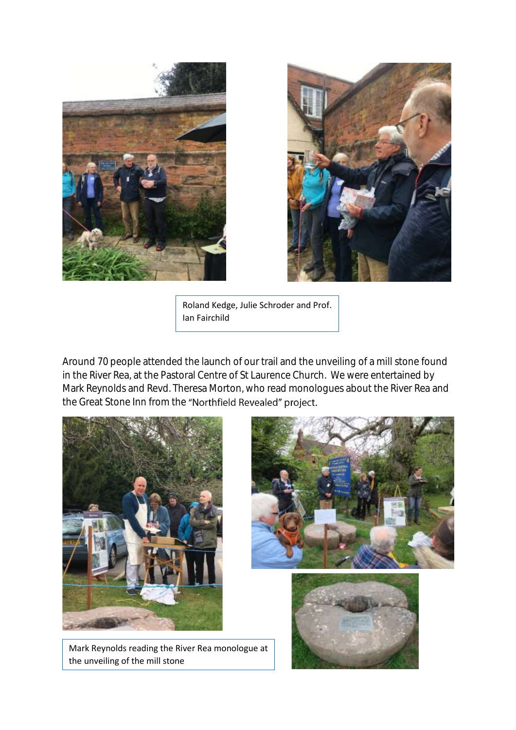



Roland Kedge, Julie Schroder and Prof. Ian Fairchild

Around 70 people attended the launch of our trail and the unveiling of a mill stone found in the River Rea, at the Pastoral Centre of St Laurence Church. We were entertained by Mark Reynolds and Revd. Theresa Morton, who read monologues about the River Rea and the Great Stone Inn from the "Northfield Revealed" project.



Mark Reynolds reading the River Rea monologue at the unveiling of the mill stone



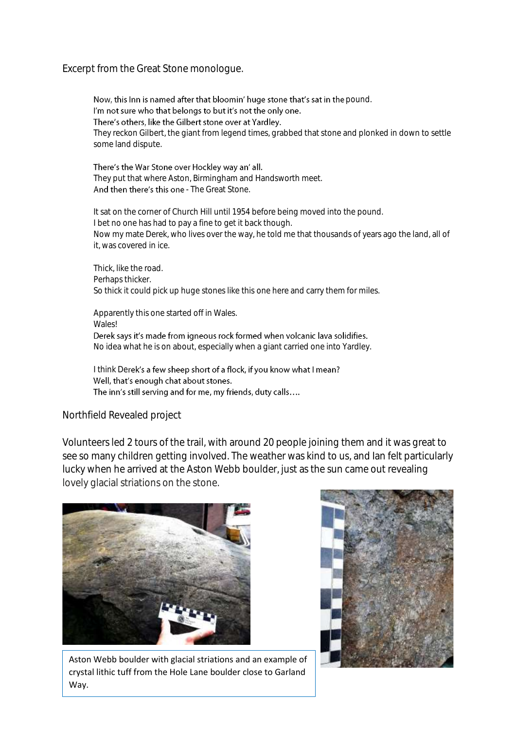### Excerpt from the Great Stone monologue.

Now, this Inn is named after that bloomin' huge stone that's sat in the pound. I'm not sure who that belongs to but it's not the only one. There's others, like the Gilbert stone over at Yardley. They reckon Gilbert, the giant from legend times, grabbed that stone and plonked in down to settle some land dispute.

There's the War Stone over Hockley way an' all. They put that where Aston, Birmingham and Handsworth meet. And then there's this one - The Great Stone.

It sat on the corner of Church Hill until 1954 before being moved into the pound. I bet no one has had to pay a fine to get it back though. Now my mate Derek, who lives over the way, he told me that thousands of years ago the land, all of it, was covered in ice.

Thick, like the road. Perhaps thicker. So thick it could pick up huge stones like this one here and carry them for miles.

Apparently this one started off in Wales. **Wales!** Derek says it's made from igneous rock formed when volcanic lava solidifies. No idea what he is on about, especially when a giant carried one into Yardley.

I think Derek's a few sheep short of a flock, if you know what I mean? Well, that's enough chat about stones. The inn's still serving and for me, my friends, duty calls....

### Northfield Revealed project

Volunteers led 2 tours of the trail, with around 20 people joining them and it was great to see so many children getting involved. The weather was kind to us, and Ian felt particularly lucky when he arrived at the Aston Webb boulder, just as the sun came out revealing lovely glacial striations on the stone.



Aston Webb boulder with glacial striations and an example of crystal lithic tuff from the Hole Lane boulder close to Garland Way.

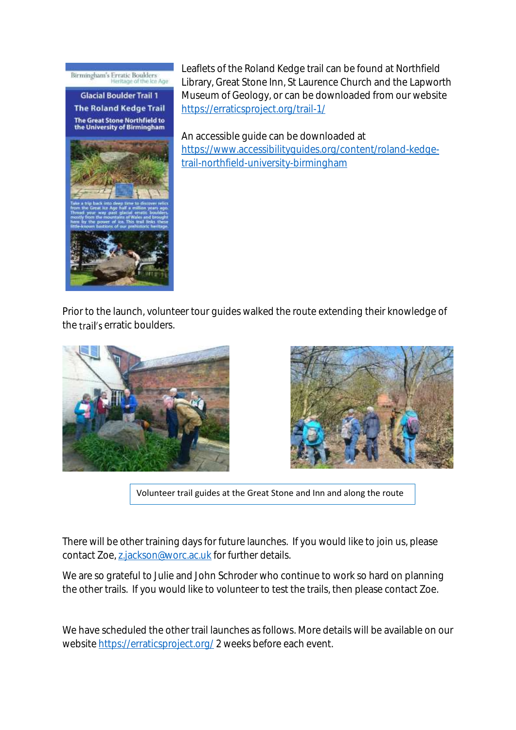## Birmingham's Erratic Boulders<br>Heritage of the Ice Age

**Glacial Boulder Trail 1 The Roland Kedge Trail** The Great Stone Northfield to<br>the University of Birmingham



Leaflets of the Roland Kedge trail can be found at Northfield Library, Great Stone Inn, St Laurence Church and the Lapworth Museum of Geology, or can be downloaded from our website <https://erraticsproject.org/trail-1/>

An accessible guide can be downloaded at [https://www.accessibilityguides.org/content/roland-kedge](https://www.accessibilityguides.org/content/roland-kedge-trail-northfield-university-birmingham)[trail-northfield-university-birmingham](https://www.accessibilityguides.org/content/roland-kedge-trail-northfield-university-birmingham)

Prior to the launch, volunteer tour guides walked the route extending their knowledge of the trail's erratic boulders.





Volunteer trail guides at the Great Stone and Inn and along the route

There will be other training days for future launches. If you would like to join us, please contact Zoe[, z.jackson@worc.ac.uk](mailto:z.jackson@worc.ac.uk) for further details.

We are so grateful to Julie and John Schroder who continue to work so hard on planning the other trails. If you would like to volunteer to test the trails, then please contact Zoe.

We have scheduled the other trail launches as follows. More details will be available on our website<https://erraticsproject.org/> 2 weeks before each event.